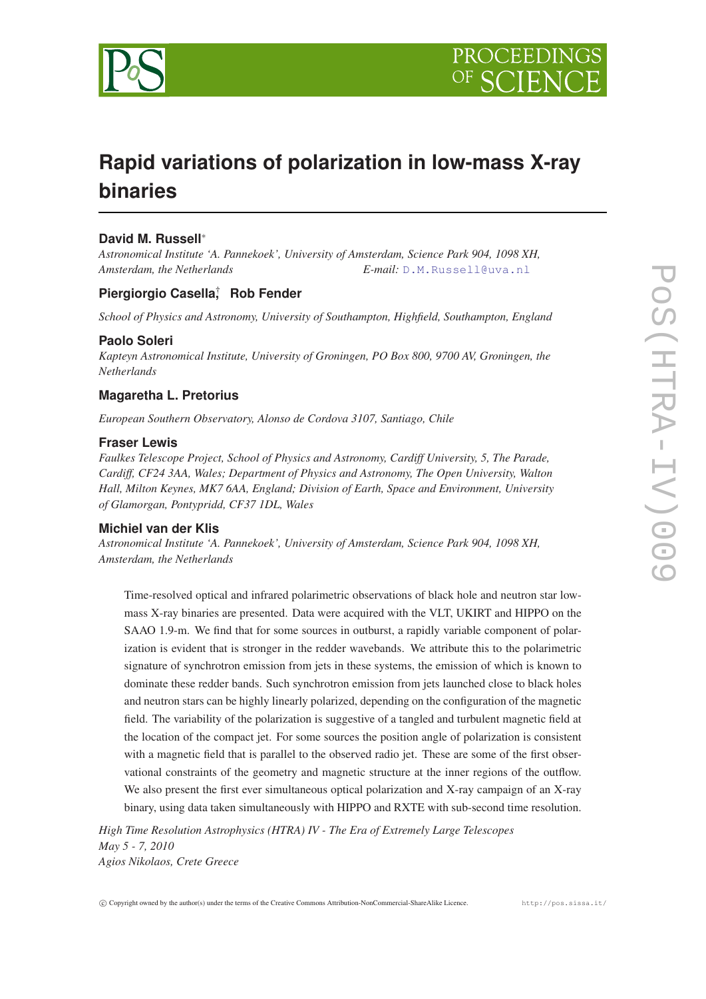

# **Rapid variations of polarization in low-mass X-ray binaries**

## **David M. Russell**<sup>∗</sup>

*Astronomical Institute 'A. Pannekoek', University of Amsterdam, Science Park 904, 1098 XH, Amsterdam, the Netherlands E-mail:* [D.M.Russell@uva.nl](mailto:D.M.Russell@uva.nl)

## **Piergiorgio Casella**† **, Rob Fender**

*School of Physics and Astronomy, University of Southampton, Highfield, Southampton, England*

## **Paolo Soleri**

*Kapteyn Astronomical Institute, University of Groningen, PO Box 800, 9700 AV, Groningen, the Netherlands*

## **Magaretha L. Pretorius**

*European Southern Observatory, Alonso de Cordova 3107, Santiago, Chile*

#### **Fraser Lewis**

*Faulkes Telescope Project, School of Physics and Astronomy, Cardiff University, 5, The Parade, Cardiff, CF24 3AA, Wales; Department of Physics and Astronomy, The Open University, Walton Hall, Milton Keynes, MK7 6AA, England; Division of Earth, Space and Environment, University of Glamorgan, Pontypridd, CF37 1DL, Wales*

### **Michiel van der Klis**

*Astronomical Institute 'A. Pannekoek', University of Amsterdam, Science Park 904, 1098 XH, Amsterdam, the Netherlands*

Time-resolved optical and infrared polarimetric observations of black hole and neutron star lowmass X-ray binaries are presented. Data were acquired with the VLT, UKIRT and HIPPO on the SAAO 1.9-m. We find that for some sources in outburst, a rapidly variable component of polarization is evident that is stronger in the redder wavebands. We attribute this to the polarimetric signature of synchrotron emission from jets in these systems, the emission of which is known to dominate these redder bands. Such synchrotron emission from jets launched close to black holes and neutron stars can be highly linearly polarized, depending on the configuration of the magnetic field. The variability of the polarization is suggestive of a tangled and turbulent magnetic field at the location of the compact jet. For some sources the position angle of polarization is consistent with a magnetic field that is parallel to the observed radio jet. These are some of the first observational constraints of the geometry and magnetic structure at the inner regions of the outflow. We also present the first ever simultaneous optical polarization and X-ray campaign of an X-ray binary, using data taken simultaneously with HIPPO and RXTE with sub-second time resolution.

*High Time Resolution Astrophysics (HTRA) IV - The Era of Extremely Large Telescopes May 5 - 7, 2010 Agios Nikolaos, Crete Greece*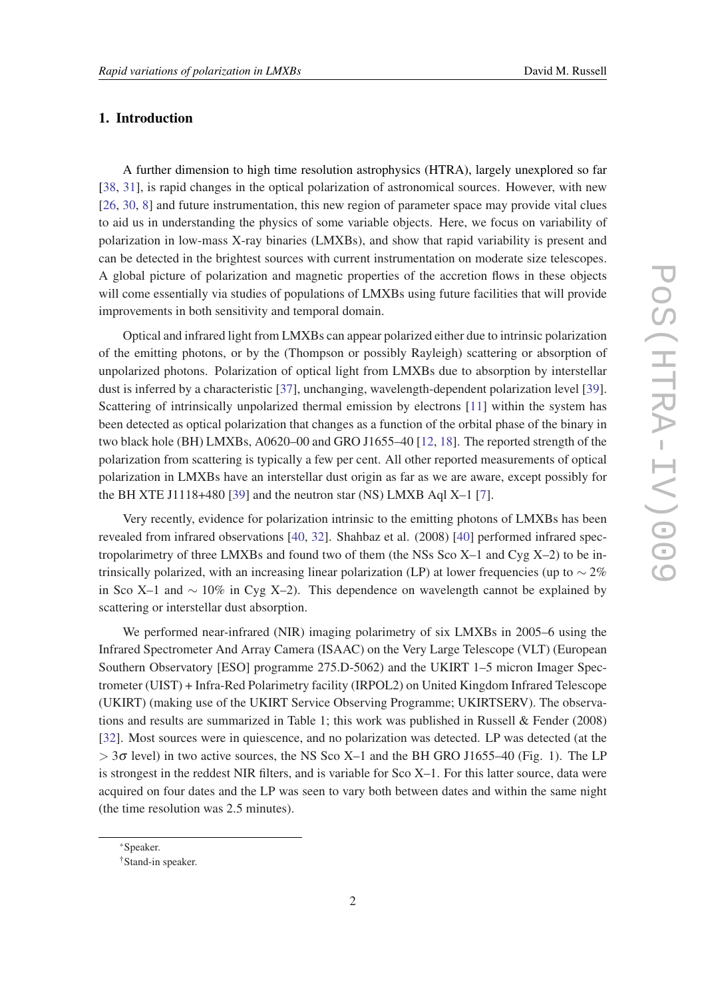## 1. Introduction

A further dimension to high time resolution astrophysics (HTRA), largely unexplored so far [[38,](#page-10-0) [31\]](#page-10-0), is rapid changes in the optical polarization of astronomical sources. However, with new [[26,](#page-10-0) [30](#page-10-0), [8](#page-9-0)] and future instrumentation, this new region of parameter space may provide vital clues to aid us in understanding the physics of some variable objects. Here, we focus on variability of polarization in low-mass X-ray binaries (LMXBs), and show that rapid variability is present and can be detected in the brightest sources with current instrumentation on moderate size telescopes. A global picture of polarization and magnetic properties of the accretion flows in these objects will come essentially via studies of populations of LMXBs using future facilities that will provide improvements in both sensitivity and temporal domain.

Optical and infrared light from LMXBs can appear polarized either due to intrinsic polarization of the emitting photons, or by the (Thompson or possibly Rayleigh) scattering or absorption of unpolarized photons. Polarization of optical light from LMXBs due to absorption by interstellar dust is inferred by a characteristic [\[37](#page-10-0)], unchanging, wavelength-dependent polarization level [[39\]](#page-11-0). Scattering of intrinsically unpolarized thermal emission by electrons [\[11](#page-10-0)] within the system has been detected as optical polarization that changes as a function of the orbital phase of the binary in two black hole (BH) LMXBs, A0620–00 and GRO J1655–40 [[12,](#page-10-0) [18\]](#page-10-0). The reported strength of the polarization from scattering is typically a few per cent. All other reported measurements of optical polarization in LMXBs have an interstellar dust origin as far as we are aware, except possibly for the BH XTE J1118+480 [\[39](#page-11-0)] and the neutron star (NS) LMXB Aql X-1 [[7](#page-9-0)].

Very recently, evidence for polarization intrinsic to the emitting photons of LMXBs has been revealed from infrared observations [\[40,](#page-11-0) [32\]](#page-10-0). Shahbaz et al. (2008) [\[40](#page-11-0)] performed infrared spectropolarimetry of three LMXBs and found two of them (the NSs Sco  $X-1$  and Cyg  $X-2$ ) to be intrinsically polarized, with an increasing linear polarization (LP) at lower frequencies (up to  $\sim$  2% in Sco X–1 and ∼ 10% in Cyg X–2). This dependence on wavelength cannot be explained by scattering or interstellar dust absorption.

We performed near-infrared (NIR) imaging polarimetry of six LMXBs in 2005–6 using the Infrared Spectrometer And Array Camera (ISAAC) on the Very Large Telescope (VLT) (European Southern Observatory [ESO] programme 275.D-5062) and the UKIRT 1–5 micron Imager Spectrometer (UIST) + Infra-Red Polarimetry facility (IRPOL2) on United Kingdom Infrared Telescope (UKIRT) (making use of the UKIRT Service Observing Programme; UKIRTSERV). The observations and results are summarized in Table 1; this work was published in Russell  $&$  Fender (2008) [[32\]](#page-10-0). Most sources were in quiescence, and no polarization was detected. LP was detected (at the  $> 3\sigma$  level) in two active sources, the NS Sco X–1 and the BH GRO J1655–40 (Fig. 1). The LP is strongest in the reddest NIR filters, and is variable for Sco X–1. For this latter source, data were acquired on four dates and the LP was seen to vary both between dates and within the same night (the time resolution was 2.5 minutes).

<sup>∗</sup>Speaker.

<sup>†</sup>Stand-in speaker.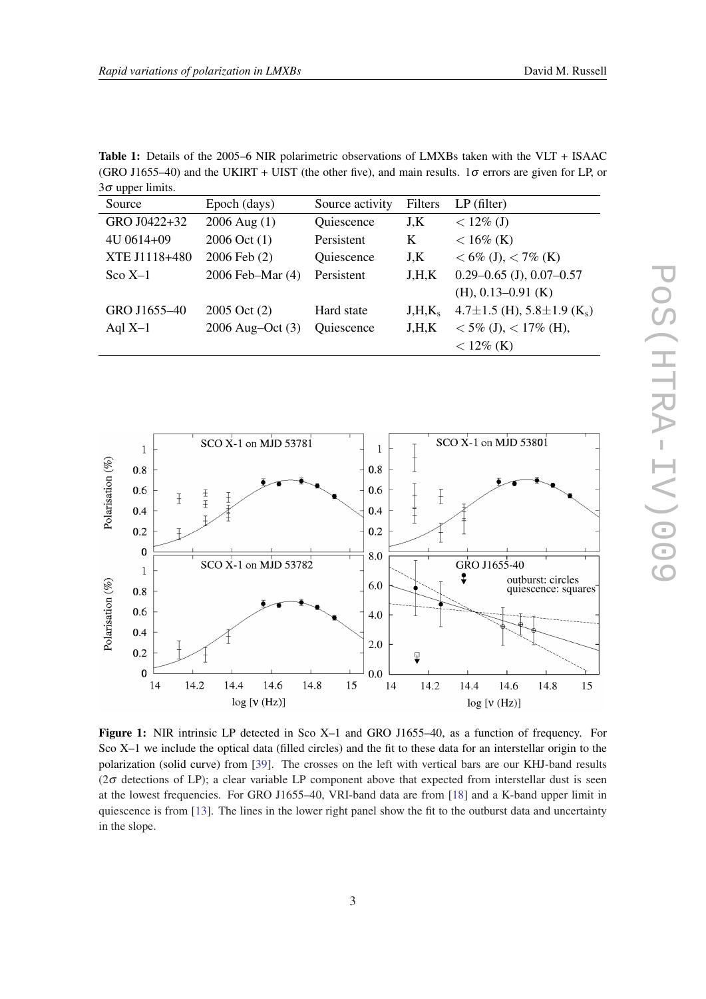Table 1: Details of the 2005–6 NIR polarimetric observations of LMXBs taken with the VLT + ISAAC (GRO J1655–40) and the UKIRT + UIST (the other five), and main results.  $1\sigma$  errors are given for LP, or  $3\sigma$  upper limits.

| Source        | Epoch (days)         | Source activity | Filters     | $LP$ (filter)                                  |
|---------------|----------------------|-----------------|-------------|------------------------------------------------|
| GRO J0422+32  | $2006$ Aug $(1)$     | Quiescence      | J,K         | $< 12\%$ (J)                                   |
| $4U\,0614+09$ | $2006$ Oct $(1)$     | Persistent      | K           | $< 16\%$ (K)                                   |
| XTE J1118+480 | 2006 Feb (2)         | Quiescence      | J,K         | $< 6\%$ (J), $< 7\%$ (K)                       |
| $Sco X-1$     | 2006 Feb-Mar (4)     | Persistent      | J.H.K       | $0.29 - 0.65$ (J), $0.07 - 0.57$               |
|               |                      |                 |             | $(H), 0.13-0.91$ (K)                           |
| GRO J1655-40  | 2005 Oct (2)         | Hard state      | $J, H, K_s$ | $4.7\pm1.5$ (H), $5.8\pm1.9$ (K <sub>s</sub> ) |
| Aql $X-1$     | $2006$ Aug–Oct $(3)$ | Quiescence      | J.H.K       | $<$ 5\% (J), $<$ 17\% (H),                     |
|               |                      |                 |             | $< 12\%$ (K)                                   |



Figure 1: NIR intrinsic LP detected in Sco X–1 and GRO J1655–40, as a function of frequency. For Sco X–1 we include the optical data (filled circles) and the fit to these data for an interstellar origin to the polarization (solid curve) from [[39\]](#page-11-0). The crosses on the left with vertical bars are our KHJ-band results ( $2\sigma$  detections of LP); a clear variable LP component above that expected from interstellar dust is seen at the lowest frequencies. For GRO J1655–40, VRI-band data are from [\[18](#page-10-0)] and a K-band upper limit in quiescence is from [[13\]](#page-10-0). The lines in the lower right panel show the fit to the outburst data and uncertainty in the slope.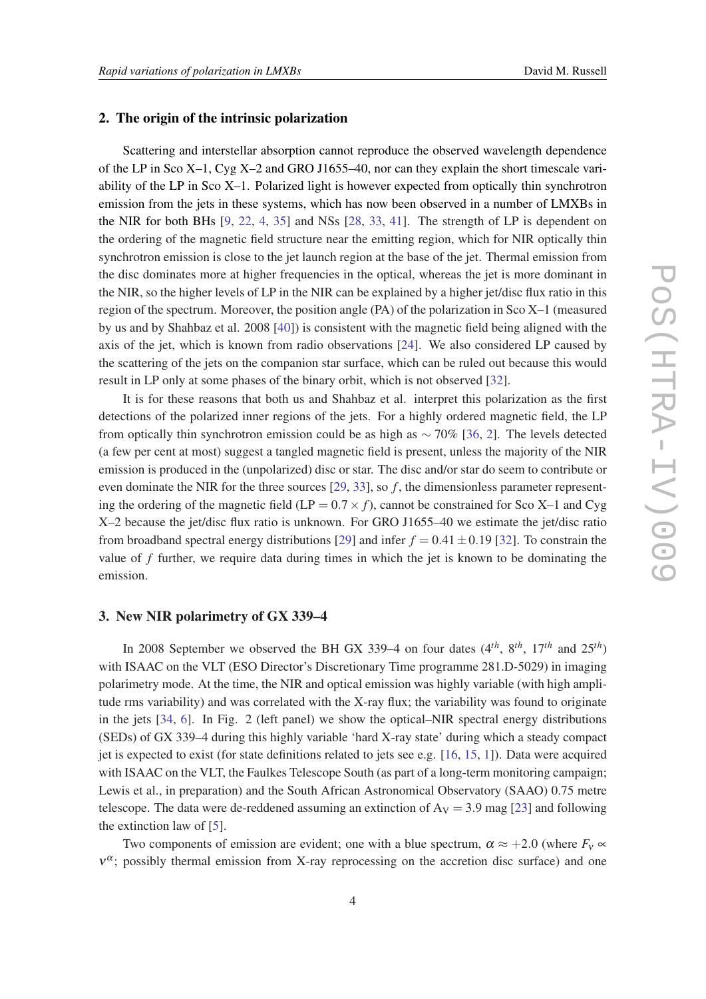#### 2. The origin of the intrinsic polarization

Scattering and interstellar absorption cannot reproduce the observed wavelength dependence of the LP in Sco X–1, Cyg X–2 and GRO J1655–40, nor can they explain the short timescale variability of the LP in Sco X–1. Polarized light is however expected from optically thin synchrotron emission from the jets in these systems, which has now been observed in a number of LMXBs in the NIR for both BHs [\[9,](#page-10-0) [22](#page-10-0), [4](#page-9-0), [35\]](#page-10-0) and NSs [[28,](#page-10-0) [33](#page-10-0), [41\]](#page-11-0). The strength of LP is dependent on the ordering of the magnetic field structure near the emitting region, which for NIR optically thin synchrotron emission is close to the jet launch region at the base of the jet. Thermal emission from the disc dominates more at higher frequencies in the optical, whereas the jet is more dominant in the NIR, so the higher levels of LP in the NIR can be explained by a higher jet/disc flux ratio in this region of the spectrum. Moreover, the position angle (PA) of the polarization in Sco X–1 (measured by us and by Shahbaz et al. 2008 [\[40](#page-11-0)]) is consistent with the magnetic field being aligned with the axis of the jet, which is known from radio observations [\[24](#page-10-0)]. We also considered LP caused by the scattering of the jets on the companion star surface, which can be ruled out because this would result in LP only at some phases of the binary orbit, which is not observed [\[32](#page-10-0)].

It is for these reasons that both us and Shahbaz et al. interpret this polarization as the first detections of the polarized inner regions of the jets. For a highly ordered magnetic field, the LP from optically thin synchrotron emission could be as high as  $\sim$  70% [\[36](#page-10-0), [2\]](#page-9-0). The levels detected (a few per cent at most) suggest a tangled magnetic field is present, unless the majority of the NIR emission is produced in the (unpolarized) disc or star. The disc and/or star do seem to contribute or even dominate the NIR for the three sources [\[29](#page-10-0), [33\]](#page-10-0), so *f* , the dimensionless parameter representing the ordering of the magnetic field  $(LP = 0.7 \times f)$ , cannot be constrained for Sco X–1 and Cyg X–2 because the jet/disc flux ratio is unknown. For GRO J1655–40 we estimate the jet/disc ratio from broadband spectral energy distributions [[29\]](#page-10-0) and infer  $f = 0.41 \pm 0.19$  [\[32](#page-10-0)]. To constrain the value of *f* further, we require data during times in which the jet is known to be dominating the emission.

#### 3. New NIR polarimetry of GX 339–4

In 2008 September we observed the BH GX 339–4 on four dates (4*th*, 8*th*, 17*th* and 25*th*) with ISAAC on the VLT (ESO Director's Discretionary Time programme 281.D-5029) in imaging polarimetry mode. At the time, the NIR and optical emission was highly variable (with high amplitude rms variability) and was correlated with the X-ray flux; the variability was found to originate in the jets [\[34](#page-10-0), [6\]](#page-9-0). In Fig. 2 (left panel) we show the optical–NIR spectral energy distributions (SEDs) of GX 339–4 during this highly variable 'hard X-ray state' during which a steady compact jet is expected to exist (for state definitions related to jets see e.g. [\[16](#page-10-0), [15](#page-10-0), [1](#page-9-0)]). Data were acquired with ISAAC on the VLT, the Faulkes Telescope South (as part of a long-term monitoring campaign; Lewis et al., in preparation) and the South African Astronomical Observatory (SAAO) 0.75 metre telescope. The data were de-reddened assuming an extinction of  $A_V = 3.9$  mag [\[23](#page-10-0)] and following the extinction law of [\[5\]](#page-9-0).

Two components of emission are evident; one with a blue spectrum,  $\alpha \approx +2.0$  (where  $F_v \propto$  $v^{\alpha}$ ; possibly thermal emission from X-ray reprocessing on the accretion disc surface) and one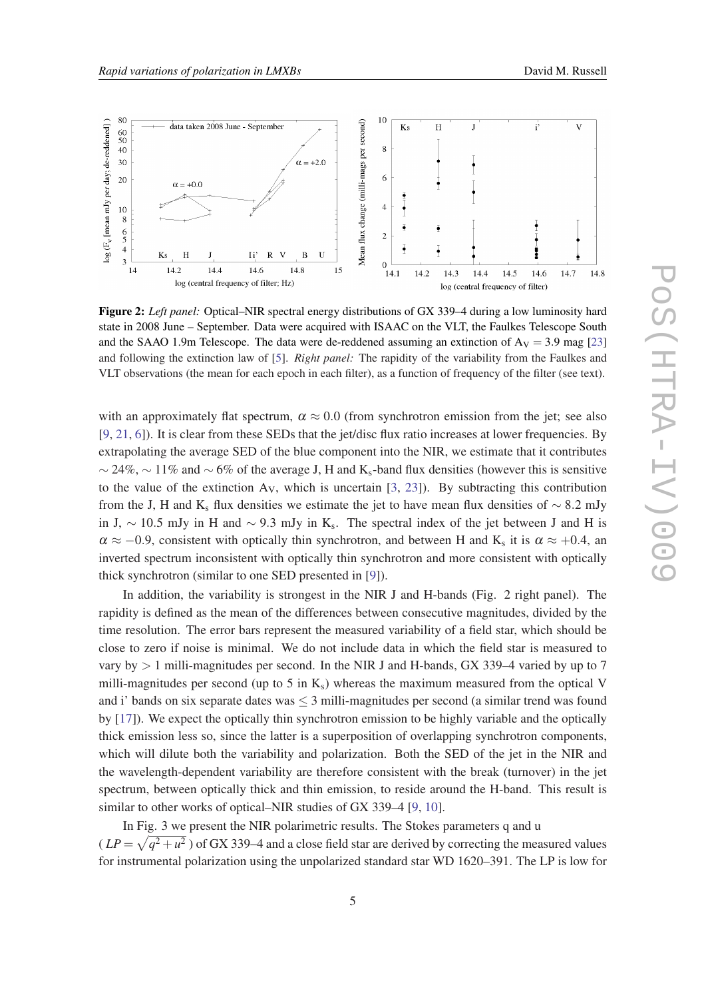

Figure 2: *Left panel:* Optical–NIR spectral energy distributions of GX 339–4 during a low luminosity hard state in 2008 June – September. Data were acquired with ISAAC on the VLT, the Faulkes Telescope South and the SAAO 1.9m Telescope. The data were de-reddened assuming an extinction of  $A_V = 3.9$  mag [[23\]](#page-10-0) and following the extinction law of [[5\]](#page-9-0). *Right panel:* The rapidity of the variability from the Faulkes and VLT observations (the mean for each epoch in each filter), as a function of frequency of the filter (see text).

with an approximately flat spectrum,  $\alpha \approx 0.0$  (from synchrotron emission from the jet; see also [[9](#page-10-0), [21,](#page-10-0) [6](#page-9-0)]). It is clear from these SEDs that the jet/disc flux ratio increases at lower frequencies. By extrapolating the average SED of the blue component into the NIR, we estimate that it contributes  $\sim$  24%,  $\sim$  11% and  $\sim$  6% of the average J, H and K<sub>s</sub>-band flux densities (however this is sensitive to the value of the extinction  $A_V$ , which is uncertain [[3](#page-9-0), [23\]](#page-10-0)). By subtracting this contribution from the J, H and K<sub>s</sub> flux densities we estimate the jet to have mean flux densities of  $\sim$  8.2 mJy in J,  $\sim$  10.5 mJy in H and  $\sim$  9.3 mJy in K<sub>s</sub>. The spectral index of the jet between J and H is  $\alpha \approx -0.9$ , consistent with optically thin synchrotron, and between H and K<sub>s</sub> it is  $\alpha \approx +0.4$ , and inverted spectrum inconsistent with optically thin synchrotron and more consistent with optically thick synchrotron (similar to one SED presented in [[9](#page-10-0)]).

In addition, the variability is strongest in the NIR J and H-bands (Fig. 2 right panel). The rapidity is defined as the mean of the differences between consecutive magnitudes, divided by the time resolution. The error bars represent the measured variability of a field star, which should be close to zero if noise is minimal. We do not include data in which the field star is measured to vary by  $> 1$  milli-magnitudes per second. In the NIR J and H-bands, GX 339–4 varied by up to 7 milli-magnitudes per second (up to 5 in  $K_s$ ) whereas the maximum measured from the optical V and i' bands on six separate dates was ≤ 3 milli-magnitudes per second (a similar trend was found by [[17\]](#page-10-0)). We expect the optically thin synchrotron emission to be highly variable and the optically thick emission less so, since the latter is a superposition of overlapping synchrotron components, which will dilute both the variability and polarization. Both the SED of the jet in the NIR and the wavelength-dependent variability are therefore consistent with the break (turnover) in the jet spectrum, between optically thick and thin emission, to reside around the H-band. This result is similar to other works of optical–NIR studies of GX 339–4 [\[9,](#page-10-0) [10](#page-10-0)].

In Fig. 3 we present the NIR polarimetric results. The Stokes parameters q and u  $(LP = \sqrt{q^2 + u^2})$  of GX 339–4 and a close field star are derived by correcting the measured values for instrumental polarization using the unpolarized standard star WD 1620–391. The LP is low for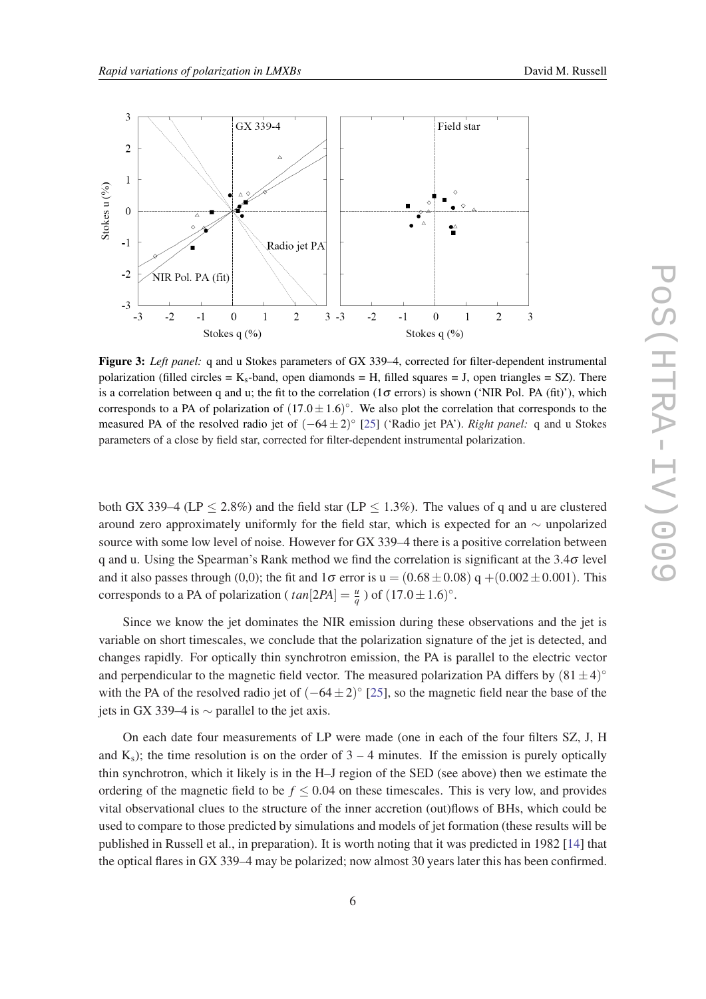

Figure 3: *Left panel:* q and u Stokes parameters of GX 339–4, corrected for filter-dependent instrumental polarization (filled circles =  $K_s$ -band, open diamonds = H, filled squares = J, open triangles =  $SZ$ ). There is a correlation between q and u; the fit to the correlation ( $1\sigma$  errors) is shown ('NIR Pol. PA (fit)'), which corresponds to a PA of polarization of  $(17.0 \pm 1.6)^\circ$ . We also plot the correlation that corresponds to the measured PA of the resolved radio jet of  $(-64 \pm 2)$ <sup>°</sup> [\[25](#page-10-0)] ('Radio jet PA'). *Right panel:* q and u Stokes parameters of a close by field star, corrected for filter-dependent instrumental polarization.

both GX 339–4 (LP  $\leq$  2.8%) and the field star (LP  $\leq$  1.3%). The values of q and u are clustered around zero approximately uniformly for the field star, which is expected for an  $\sim$  unpolarized source with some low level of noise. However for GX 339–4 there is a positive correlation between q and u. Using the Spearman's Rank method we find the correlation is significant at the  $3.4\sigma$  level and it also passes through (0,0); the fit and  $1\sigma$  error is  $u = (0.68 \pm 0.08)$  q  $+(0.002 \pm 0.001)$ . This corresponds to a PA of polarization (  $tan[2PA] = \frac{u}{q}$  ) of  $(17.0 \pm 1.6)^\circ$ .

Since we know the jet dominates the NIR emission during these observations and the jet is variable on short timescales, we conclude that the polarization signature of the jet is detected, and changes rapidly. For optically thin synchrotron emission, the PA is parallel to the electric vector and perpendicular to the magnetic field vector. The measured polarization PA differs by  $(81 \pm 4)^\circ$ with the PA of the resolved radio jet of  $(-64 \pm 2)^{\circ}$  [\[25](#page-10-0)], so the magnetic field near the base of the jets in GX 339–4 is  $\sim$  parallel to the jet axis.

On each date four measurements of LP were made (one in each of the four filters SZ, J, H and  $K_s$ ); the time resolution is on the order of  $3 - 4$  minutes. If the emission is purely optically thin synchrotron, which it likely is in the H–J region of the SED (see above) then we estimate the ordering of the magnetic field to be  $f \leq 0.04$  on these timescales. This is very low, and provides vital observational clues to the structure of the inner accretion (out)flows of BHs, which could be used to compare to those predicted by simulations and models of jet formation (these results will be published in Russell et al., in preparation). It is worth noting that it was predicted in 1982 [\[14](#page-10-0)] that the optical flares in GX 339–4 may be polarized; now almost 30 years later this has been confirmed.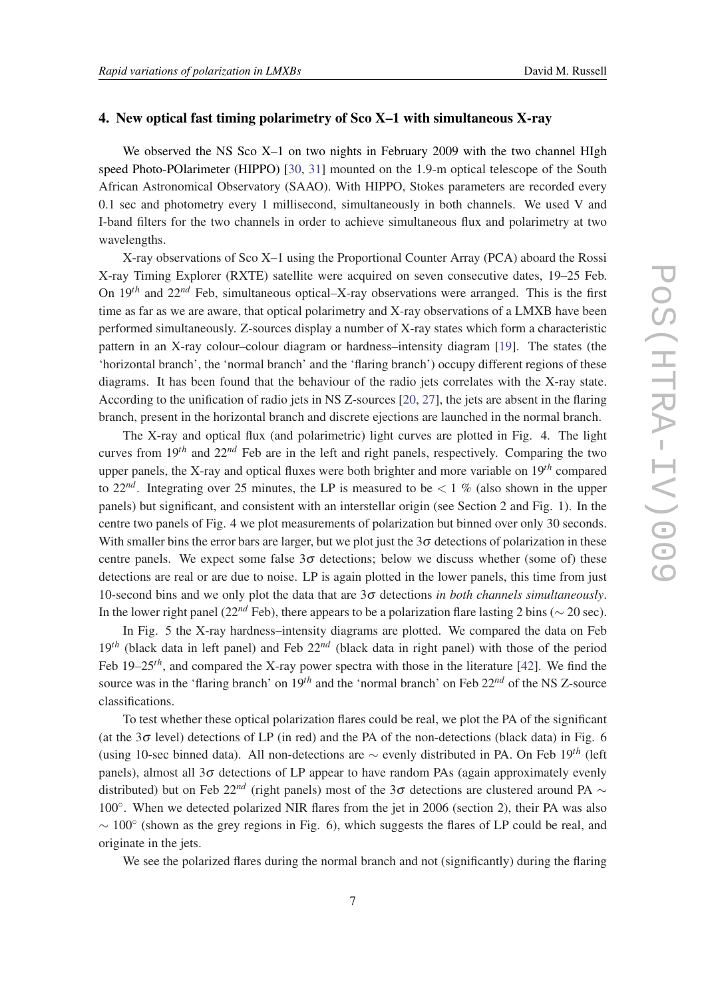#### 4. New optical fast timing polarimetry of Sco X–1 with simultaneous X-ray

We observed the NS Sco X–1 on two nights in February 2009 with the two channel HIgh speed Photo-POlarimeter (HIPPO) [\[30](#page-10-0), [31](#page-10-0)] mounted on the 1.9-m optical telescope of the South African Astronomical Observatory (SAAO). With HIPPO, Stokes parameters are recorded every 0.1 sec and photometry every 1 millisecond, simultaneously in both channels. We used V and I-band filters for the two channels in order to achieve simultaneous flux and polarimetry at two wavelengths.

X-ray observations of Sco X–1 using the Proportional Counter Array (PCA) aboard the Rossi X-ray Timing Explorer (RXTE) satellite were acquired on seven consecutive dates, 19–25 Feb. On 19*th* and 22*nd* Feb, simultaneous optical–X-ray observations were arranged. This is the first time as far as we are aware, that optical polarimetry and X-ray observations of a LMXB have been performed simultaneously. Z-sources display a number of X-ray states which form a characteristic pattern in an X-ray colour–colour diagram or hardness–intensity diagram [[19\]](#page-10-0). The states (the 'horizontal branch', the 'normal branch' and the 'flaring branch') occupy different regions of these diagrams. It has been found that the behaviour of the radio jets correlates with the X-ray state. According to the unification of radio jets in NS Z-sources [[20,](#page-10-0) [27](#page-10-0)], the jets are absent in the flaring branch, present in the horizontal branch and discrete ejections are launched in the normal branch.

The X-ray and optical flux (and polarimetric) light curves are plotted in Fig. 4. The light curves from 19*th* and 22*nd* Feb are in the left and right panels, respectively. Comparing the two upper panels, the X-ray and optical fluxes were both brighter and more variable on 19*th* compared to  $22^{nd}$ . Integrating over 25 minutes, the LP is measured to be  $\lt 1$  % (also shown in the upper panels) but significant, and consistent with an interstellar origin (see Section 2 and Fig. 1). In the centre two panels of Fig. 4 we plot measurements of polarization but binned over only 30 seconds. With smaller bins the error bars are larger, but we plot just the  $3\sigma$  detections of polarization in these centre panels. We expect some false  $3\sigma$  detections; below we discuss whether (some of) these detections are real or are due to noise. LP is again plotted in the lower panels, this time from just 10-second bins and we only plot the data that are 3σ detections *in both channels simultaneously*. In the lower right panel (22*nd* Feb), there appears to be a polarization flare lasting 2 bins (∼ 20 sec).

In Fig. 5 the X-ray hardness–intensity diagrams are plotted. We compared the data on Feb  $19<sup>th</sup>$  (black data in left panel) and Feb  $22<sup>nd</sup>$  (black data in right panel) with those of the period Feb 19–25*th*, and compared the X-ray power spectra with those in the literature [[42](#page-11-0)]. We find the source was in the 'flaring branch' on 19*th* and the 'normal branch' on Feb 22*nd* of the NS Z-source classifications.

To test whether these optical polarization flares could be real, we plot the PA of the significant (at the  $3\sigma$  level) detections of LP (in red) and the PA of the non-detections (black data) in Fig. 6 (using 10-sec binned data). All non-detections are ∼ evenly distributed in PA. On Feb 19*th* (left panels), almost all  $3\sigma$  detections of LP appear to have random PAs (again approximately evenly distributed) but on Feb 22<sup>nd</sup> (right panels) most of the 3σ detections are clustered around PA  $\sim$ 100°. When we detected polarized NIR flares from the jet in 2006 (section 2), their PA was also  $\sim 100^\circ$  (shown as the grey regions in Fig. 6), which suggests the flares of LP could be real, and originate in the jets.

We see the polarized flares during the normal branch and not (significantly) during the flaring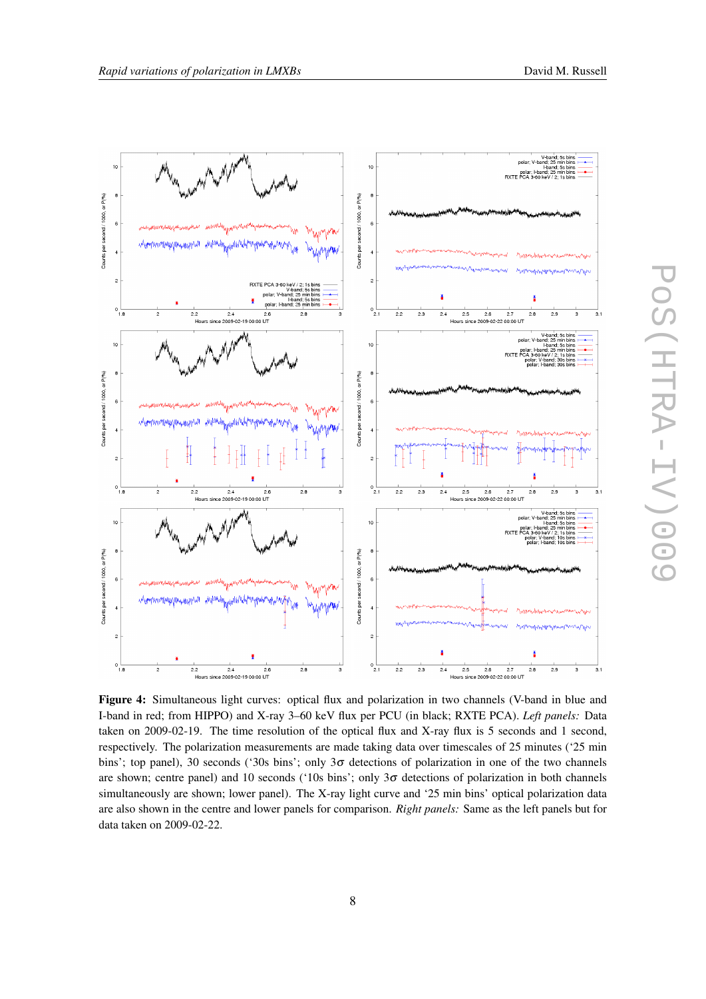



Figure 4: Simultaneous light curves: optical flux and polarization in two channels (V-band in blue and I-band in red; from HIPPO) and X-ray 3–60 keV flux per PCU (in black; RXTE PCA). *Left panels:* Data taken on 2009-02-19. The time resolution of the optical flux and X-ray flux is 5 seconds and 1 second, respectively. The polarization measurements are made taking data over timescales of 25 minutes ('25 min bins'; top panel), 30 seconds ('30s bins'; only  $3\sigma$  detections of polarization in one of the two channels are shown; centre panel) and 10 seconds ('10s bins'; only  $3\sigma$  detections of polarization in both channels simultaneously are shown; lower panel). The X-ray light curve and '25 min bins' optical polarization data are also shown in the centre and lower panels for comparison. *Right panels:* Same as the left panels but for data taken on 2009-02-22.

8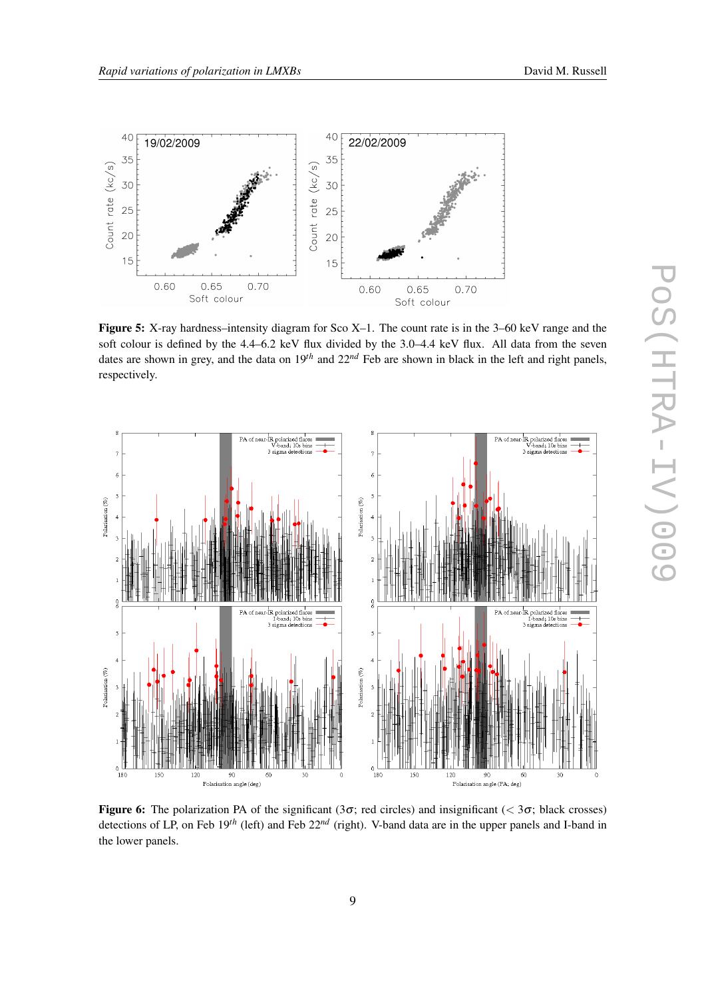





Figure 5: X-ray hardness–intensity diagram for Sco X–1. The count rate is in the 3–60 keV range and the soft colour is defined by the 4.4–6.2 keV flux divided by the 3.0–4.4 keV flux. All data from the seven dates are shown in grey, and the data on 19*th* and 22*nd* Feb are shown in black in the left and right panels, respectively.



Figure 6: The polarization PA of the significant (3 $\sigma$ ; red circles) and insignificant (< 3 $\sigma$ ; black crosses) detections of LP, on Feb 19<sup>th</sup> (left) and Feb 22<sup>nd</sup> (right). V-band data are in the upper panels and I-band in the lower panels.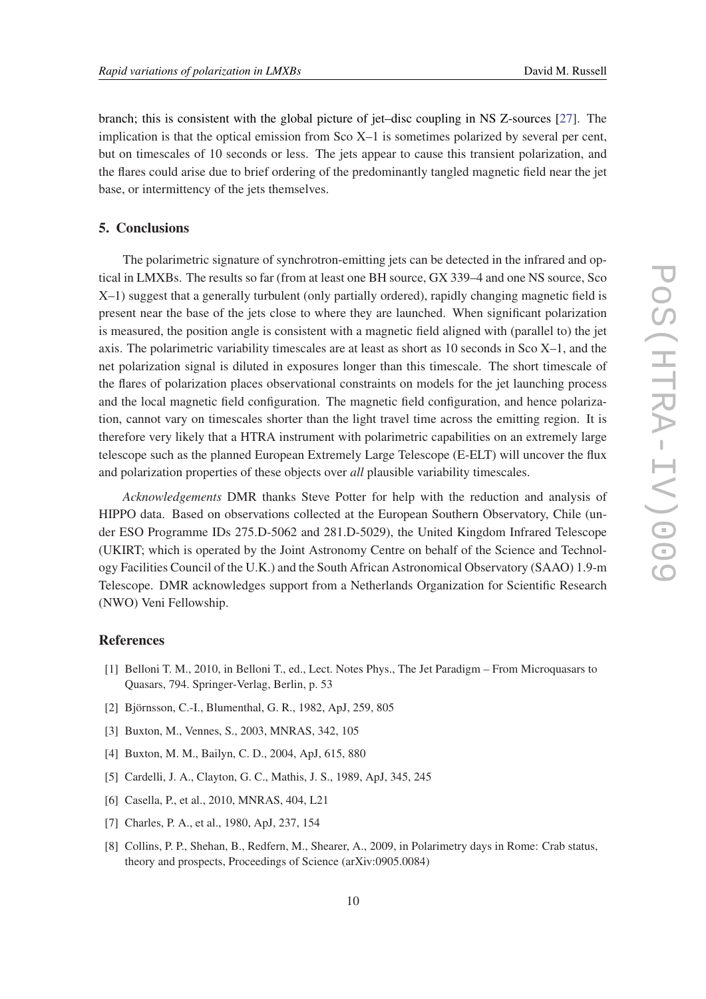<span id="page-9-0"></span>branch; this is consistent with the global picture of jet–disc coupling in NS Z-sources [\[27](#page-10-0)]. The implication is that the optical emission from Sco X–1 is sometimes polarized by several per cent, but on timescales of 10 seconds or less. The jets appear to cause this transient polarization, and the flares could arise due to brief ordering of the predominantly tangled magnetic field near the jet base, or intermittency of the jets themselves.

### 5. Conclusions

The polarimetric signature of synchrotron-emitting jets can be detected in the infrared and optical in LMXBs. The results so far (from at least one BH source, GX 339–4 and one NS source, Sco X–1) suggest that a generally turbulent (only partially ordered), rapidly changing magnetic field is present near the base of the jets close to where they are launched. When significant polarization is measured, the position angle is consistent with a magnetic field aligned with (parallel to) the jet axis. The polarimetric variability timescales are at least as short as 10 seconds in Sco X–1, and the net polarization signal is diluted in exposures longer than this timescale. The short timescale of the flares of polarization places observational constraints on models for the jet launching process and the local magnetic field configuration. The magnetic field configuration, and hence polarization, cannot vary on timescales shorter than the light travel time across the emitting region. It is therefore very likely that a HTRA instrument with polarimetric capabilities on an extremely large telescope such as the planned European Extremely Large Telescope (E-ELT) will uncover the flux and polarization properties of these objects over *all* plausible variability timescales.

*Acknowledgements* DMR thanks Steve Potter for help with the reduction and analysis of HIPPO data. Based on observations collected at the European Southern Observatory, Chile (under ESO Programme IDs 275.D-5062 and 281.D-5029), the United Kingdom Infrared Telescope (UKIRT; which is operated by the Joint Astronomy Centre on behalf of the Science and Technology Facilities Council of the U.K.) and the South African Astronomical Observatory (SAAO) 1.9-m Telescope. DMR acknowledges support from a Netherlands Organization for Scientific Research (NWO) Veni Fellowship.

#### References

- [1] Belloni T. M., 2010, in Belloni T., ed., Lect. Notes Phys., The Jet Paradigm From Microquasars to Quasars, 794. Springer-Verlag, Berlin, p. 53
- [2] Björnsson, C.-I., Blumenthal, G. R., 1982, ApJ, 259, 805
- [3] Buxton, M., Vennes, S., 2003, MNRAS, 342, 105
- [4] Buxton, M. M., Bailyn, C. D., 2004, ApJ, 615, 880
- [5] Cardelli, J. A., Clayton, G. C., Mathis, J. S., 1989, ApJ, 345, 245
- [6] Casella, P., et al., 2010, MNRAS, 404, L21
- [7] Charles, P. A., et al., 1980, ApJ, 237, 154
- [8] Collins, P. P., Shehan, B., Redfern, M., Shearer, A., 2009, in Polarimetry days in Rome: Crab status, theory and prospects, Proceedings of Science (arXiv:0905.0084)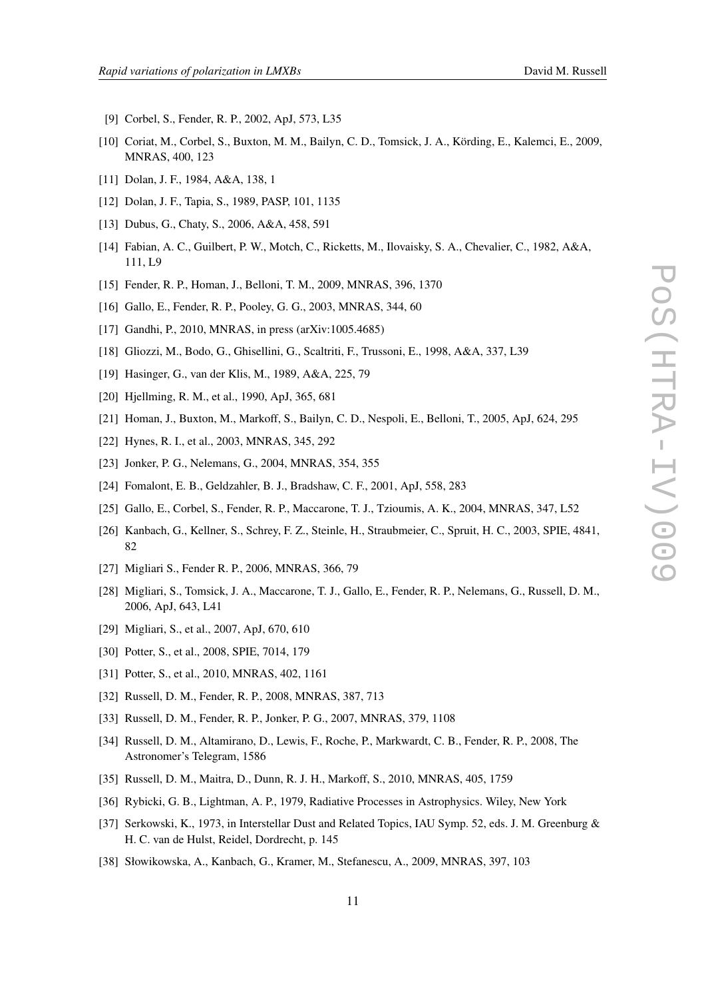- <span id="page-10-0"></span>[9] Corbel, S., Fender, R. P., 2002, ApJ, 573, L35
- [10] Coriat, M., Corbel, S., Buxton, M. M., Bailyn, C. D., Tomsick, J. A., Körding, E., Kalemci, E., 2009, MNRAS, 400, 123
- [11] Dolan, J. F., 1984, A&A, 138, 1
- [12] Dolan, J. F., Tapia, S., 1989, PASP, 101, 1135
- [13] Dubus, G., Chaty, S., 2006, A&A, 458, 591
- [14] Fabian, A. C., Guilbert, P. W., Motch, C., Ricketts, M., Ilovaisky, S. A., Chevalier, C., 1982, A&A, 111, L9
- [15] Fender, R. P., Homan, J., Belloni, T. M., 2009, MNRAS, 396, 1370
- [16] Gallo, E., Fender, R. P., Pooley, G. G., 2003, MNRAS, 344, 60
- [17] Gandhi, P., 2010, MNRAS, in press (arXiv:1005.4685)
- [18] Gliozzi, M., Bodo, G., Ghisellini, G., Scaltriti, F., Trussoni, E., 1998, A&A, 337, L39
- [19] Hasinger, G., van der Klis, M., 1989, A&A, 225, 79
- [20] Hjellming, R. M., et al., 1990, ApJ, 365, 681
- [21] Homan, J., Buxton, M., Markoff, S., Bailyn, C. D., Nespoli, E., Belloni, T., 2005, ApJ, 624, 295
- [22] Hynes, R. I., et al., 2003, MNRAS, 345, 292
- [23] Jonker, P. G., Nelemans, G., 2004, MNRAS, 354, 355
- [24] Fomalont, E. B., Geldzahler, B. J., Bradshaw, C. F., 2001, ApJ, 558, 283
- [25] Gallo, E., Corbel, S., Fender, R. P., Maccarone, T. J., Tzioumis, A. K., 2004, MNRAS, 347, L52
- [26] Kanbach, G., Kellner, S., Schrey, F. Z., Steinle, H., Straubmeier, C., Spruit, H. C., 2003, SPIE, 4841, 82
- [27] Migliari S., Fender R. P., 2006, MNRAS, 366, 79
- [28] Migliari, S., Tomsick, J. A., Maccarone, T. J., Gallo, E., Fender, R. P., Nelemans, G., Russell, D. M., 2006, ApJ, 643, L41
- [29] Migliari, S., et al., 2007, ApJ, 670, 610
- [30] Potter, S., et al., 2008, SPIE, 7014, 179
- [31] Potter, S., et al., 2010, MNRAS, 402, 1161
- [32] Russell, D. M., Fender, R. P., 2008, MNRAS, 387, 713
- [33] Russell, D. M., Fender, R. P., Jonker, P. G., 2007, MNRAS, 379, 1108
- [34] Russell, D. M., Altamirano, D., Lewis, F., Roche, P., Markwardt, C. B., Fender, R. P., 2008, The Astronomer's Telegram, 1586
- [35] Russell, D. M., Maitra, D., Dunn, R. J. H., Markoff, S., 2010, MNRAS, 405, 1759
- [36] Rybicki, G. B., Lightman, A. P., 1979, Radiative Processes in Astrophysics. Wiley, New York
- [37] Serkowski, K., 1973, in Interstellar Dust and Related Topics, IAU Symp. 52, eds. J. M. Greenburg & H. C. van de Hulst, Reidel, Dordrecht, p. 145
- [38] Słowikowska, A., Kanbach, G., Kramer, M., Stefanescu, A., 2009, MNRAS, 397, 103